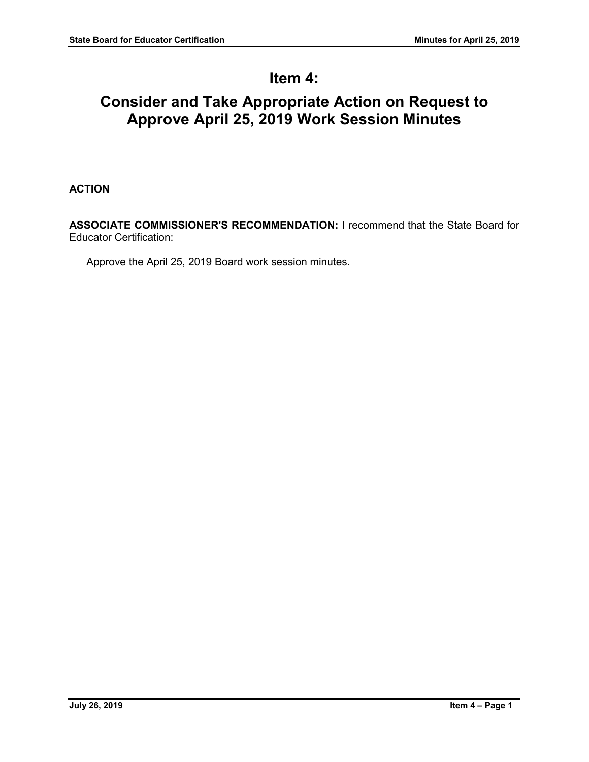## **Item 4:**

# **Consider and Take Appropriate Action on Request to Approve April 25, 2019 Work Session Minutes**

### **ACTION**

**ASSOCIATE COMMISSIONER'S RECOMMENDATION:** I recommend that the State Board for Educator Certification:

Approve the April 25, 2019 Board work session minutes.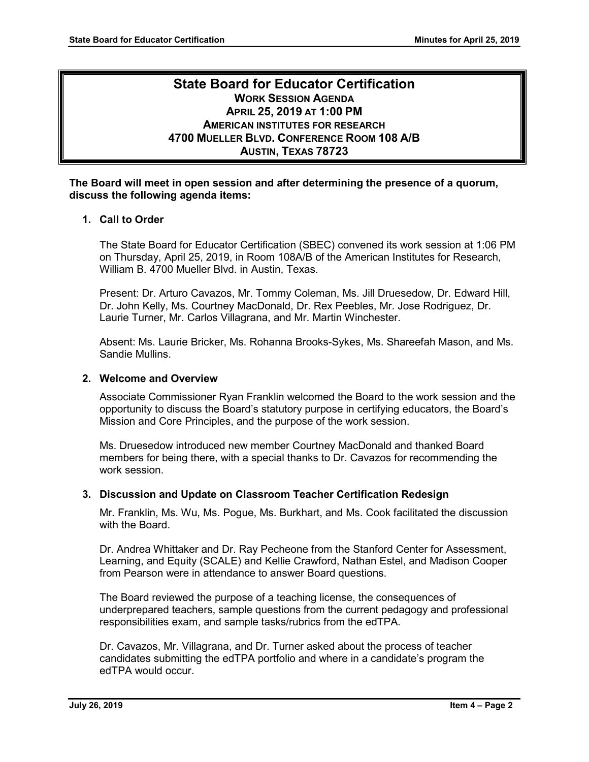## **State Board for Educator Certification WORK SESSION AGENDA APRIL 25, 2019 AT 1:00 PM AMERICAN INSTITUTES FOR RESEARCH 4700 MUELLER BLVD. CONFERENCE ROOM 108 A/B AUSTIN, TEXAS 78723**

#### **The Board will meet in open session and after determining the presence of a quorum, discuss the following agenda items:**

### **1. Call to Order**

The State Board for Educator Certification (SBEC) convened its work session at 1:06 PM on Thursday, April 25, 2019, in Room 108A/B of the American Institutes for Research, William B. 4700 Mueller Blvd. in Austin, Texas.

Present: Dr. Arturo Cavazos, Mr. Tommy Coleman, Ms. Jill Druesedow, Dr. Edward Hill, Dr. John Kelly, Ms. Courtney MacDonald, Dr. Rex Peebles, Mr. Jose Rodriguez, Dr. Laurie Turner, Mr. Carlos Villagrana, and Mr. Martin Winchester.

Absent: Ms. Laurie Bricker, Ms. Rohanna Brooks-Sykes, Ms. Shareefah Mason, and Ms. Sandie Mullins.

#### **2. Welcome and Overview**

Associate Commissioner Ryan Franklin welcomed the Board to the work session and the opportunity to discuss the Board's statutory purpose in certifying educators, the Board's Mission and Core Principles, and the purpose of the work session.

Ms. Druesedow introduced new member Courtney MacDonald and thanked Board members for being there, with a special thanks to Dr. Cavazos for recommending the work session.

#### **3. Discussion and Update on Classroom Teacher Certification Redesign**

Mr. Franklin, Ms. Wu, Ms. Pogue, Ms. Burkhart, and Ms. Cook facilitated the discussion with the Board.

Dr. Andrea Whittaker and Dr. Ray Pecheone from the Stanford Center for Assessment, Learning, and Equity (SCALE) and Kellie Crawford, Nathan Estel, and Madison Cooper from Pearson were in attendance to answer Board questions.

The Board reviewed the purpose of a teaching license, the consequences of underprepared teachers, sample questions from the current pedagogy and professional responsibilities exam, and sample tasks/rubrics from the edTPA.

Dr. Cavazos, Mr. Villagrana, and Dr. Turner asked about the process of teacher candidates submitting the edTPA portfolio and where in a candidate's program the edTPA would occur.